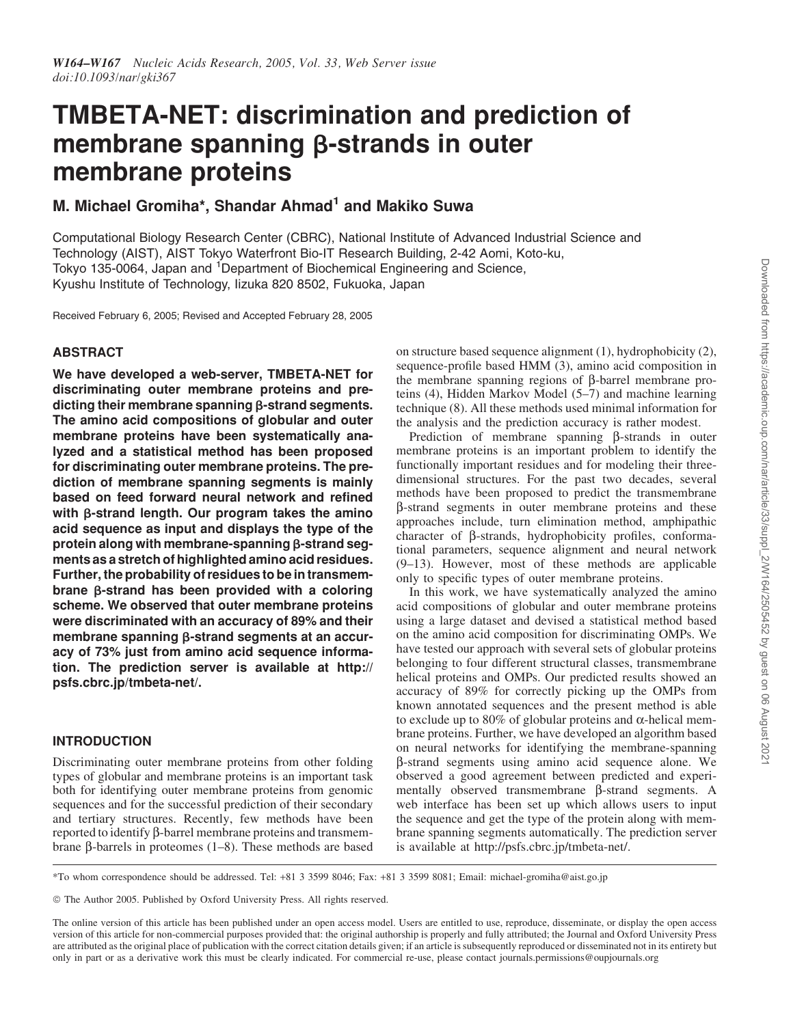# TMBETA-NET: discrimination and prediction of membrane spanning β-strands in outer membrane proteins

# M. Michael Gromiha\*, Shandar Ahmad<sup>1</sup> and Makiko Suwa

Computational Biology Research Center (CBRC), National Institute of Advanced Industrial Science and Technology (AIST), AIST Tokyo Waterfront Bio-IT Research Building, 2-42 Aomi, Koto-ku, Tokyo 135-0064, Japan and <sup>1</sup>Department of Biochemical Engineering and Science, Kyushu Institute of Technology, Iizuka 820 8502, Fukuoka, Japan

Received February 6, 2005; Revised and Accepted February 28, 2005

# ABSTRACT

We have developed a web-server, TMBETA-NET for discriminating outer membrane proteins and predicting their membrane spanning  $\beta$ -strand segments. The amino acid compositions of globular and outer membrane proteins have been systematically analyzed and a statistical method has been proposed for discriminating outer membrane proteins. The prediction of membrane spanning segments is mainly based on feed forward neural network and refined with  $\beta$ -strand length. Our program takes the amino acid sequence as input and displays the type of the protein along with membrane-spanning  $\beta$ -strand segments as a stretch of highlighted amino acid residues. Further, the probability of residues to be in transmembrane b-strand has been provided with a coloring scheme. We observed that outer membrane proteins were discriminated with an accuracy of 89% and their membrane spanning  $\beta$ -strand segments at an accuracy of 73% just from amino acid sequence information. The prediction server is available at http:// psfs.cbrc.jp/tmbeta-net/.

# INTRODUCTION

Discriminating outer membrane proteins from other folding types of globular and membrane proteins is an important task both for identifying outer membrane proteins from genomic sequences and for the successful prediction of their secondary and tertiary structures. Recently, few methods have been reported to identify β-barrel membrane proteins and transmembrane  $\beta$ -barrels in proteomes (1–8). These methods are based on structure based sequence alignment (1), hydrophobicity (2), sequence-profile based HMM (3), amino acid composition in the membrane spanning regions of  $\beta$ -barrel membrane proteins (4), Hidden Markov Model (5–7) and machine learning technique (8). All these methods used minimal information for the analysis and the prediction accuracy is rather modest.

Prediction of membrane spanning  $\beta$ -strands in outer membrane proteins is an important problem to identify the functionally important residues and for modeling their threedimensional structures. For the past two decades, several methods have been proposed to predict the transmembrane b-strand segments in outer membrane proteins and these approaches include, turn elimination method, amphipathic character of  $\beta$ -strands, hydrophobicity profiles, conformational parameters, sequence alignment and neural network (9–13). However, most of these methods are applicable only to specific types of outer membrane proteins.

In this work, we have systematically analyzed the amino acid compositions of globular and outer membrane proteins using a large dataset and devised a statistical method based on the amino acid composition for discriminating OMPs. We have tested our approach with several sets of globular proteins belonging to four different structural classes, transmembrane helical proteins and OMPs. Our predicted results showed an accuracy of 89% for correctly picking up the OMPs from known annotated sequences and the present method is able to exclude up to 80% of globular proteins and  $\alpha$ -helical membrane proteins. Further, we have developed an algorithm based on neural networks for identifying the membrane-spanning b-strand segments using amino acid sequence alone. We observed a good agreement between predicted and experimentally observed transmembrane  $\beta$ -strand segments. A web interface has been set up which allows users to input the sequence and get the type of the protein along with membrane spanning segments automatically. The prediction server is available at http://psfs.cbrc.jp/tmbeta-net/.

\*To whom correspondence should be addressed. Tel: +81 3 3599 8046; Fax: +81 3 3599 8081; Email: michael-gromiha@aist.go.jp

© The Author 2005. Published by Oxford University Press. All rights reserved.

The online version of this article has been published under an open access model. Users are entitled to use, reproduce, disseminate, or display the open access version of this article for non-commercial purposes provided that: the original authorship is properly and fully attributed; the Journal and Oxford University Press are attributed as the original place of publication with the correct citation details given; if an article is subsequently reproduced or disseminated not in its entirety but only in part or as a derivative work this must be clearly indicated. For commercial re-use, please contact journals.permissions@oupjournals.org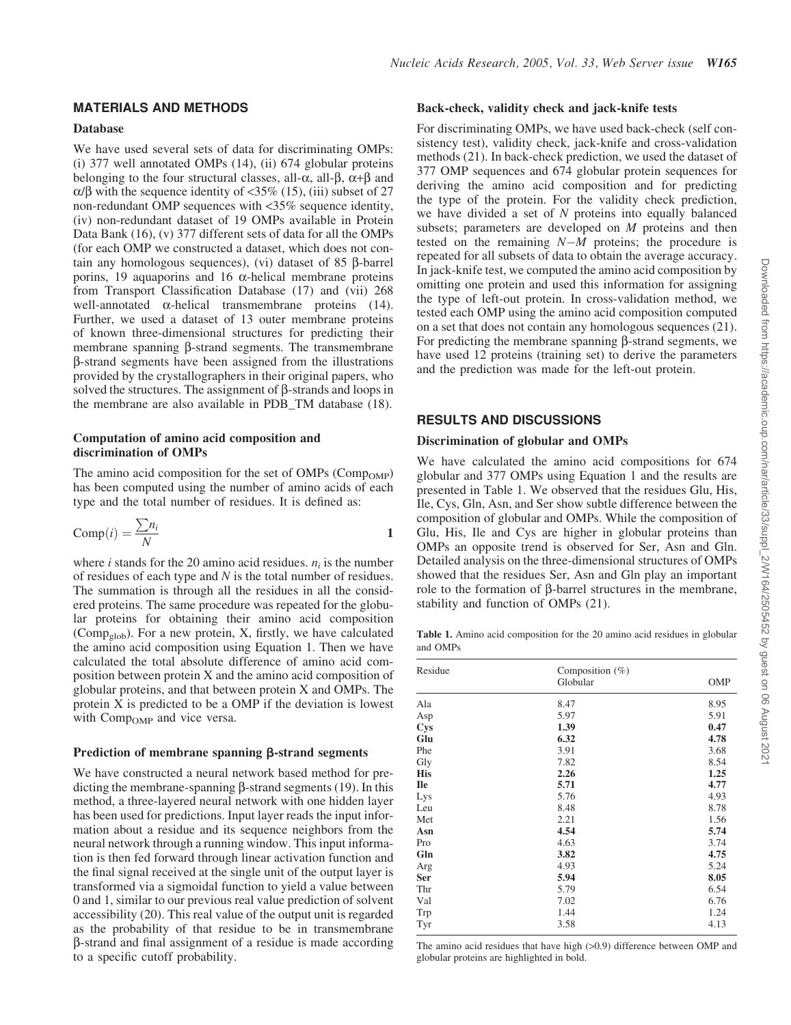# MATERIALS AND METHODS

#### Database

We have used several sets of data for discriminating OMPs: (i) 377 well annotated OMPs (14), (ii) 674 globular proteins belonging to the four structural classes, all- $\alpha$ , all- $\beta$ ,  $\alpha+\beta$  and  $\alpha/\beta$  with the sequence identity of <35% (15), (iii) subset of 27 non-redundant OMP sequences with <35% sequence identity, (iv) non-redundant dataset of 19 OMPs available in Protein Data Bank (16), (v) 377 different sets of data for all the OMPs (for each OMP we constructed a dataset, which does not contain any homologous sequences), (vi) dataset of  $85$   $\beta$ -barrel porins, 19 aquaporins and 16  $\alpha$ -helical membrane proteins from Transport Classification Database (17) and (vii) 268 well-annotated  $\alpha$ -helical transmembrane proteins (14). Further, we used a dataset of 13 outer membrane proteins of known three-dimensional structures for predicting their membrane spanning  $\beta$ -strand segments. The transmembrane b-strand segments have been assigned from the illustrations provided by the crystallographers in their original papers, who solved the structures. The assignment of  $\beta$ -strands and loops in the membrane are also available in PDB\_TM database (18).

#### Computation of amino acid composition and discrimination of OMPs

The amino acid composition for the set of OMPs  $(Comp_{OMP})$ has been computed using the number of amino acids of each type and the total number of residues. It is defined as:

$$
Comp(i) = \frac{\sum n_i}{N}
$$
 1

where *i* stands for the 20 amino acid residues.  $n_i$  is the number of residues of each type and *N* is the total number of residues. The summation is through all the residues in all the considered proteins. The same procedure was repeated for the globular proteins for obtaining their amino acid composition (Comp<sub>glob</sub>). For a new protein, X, firstly, we have calculated the amino acid composition using Equation 1. Then we have calculated the total absolute difference of amino acid composition between protein X and the amino acid composition of globular proteins, and that between protein X and OMPs. The protein  $\overline{X}$  is predicted to be a OMP if the deviation is lowest with  $Comp<sub>OMP</sub>$  and vice versa.

#### Prediction of membrane spanning  $\beta$ -strand segments

We have constructed a neural network based method for predicting the membrane-spanning  $\beta$ -strand segments (19). In this method, a three-layered neural network with one hidden layer has been used for predictions. Input layer reads the input information about a residue and its sequence neighbors from the neural network through a running window. This input information is then fed forward through linear activation function and the final signal received at the single unit of the output layer is transformed via a sigmoidal function to yield a value between 0 and 1, similar to our previous real value prediction of solvent accessibility (20). This real value of the output unit is regarded as the probability of that residue to be in transmembrane b-strand and final assignment of a residue is made according to a specific cutoff probability.

#### Back-check, validity check and jack-knife tests

For discriminating OMPs, we have used back-check (self consistency test), validity check, jack-knife and cross-validation methods (21). In back-check prediction, we used the dataset of 377 OMP sequences and 674 globular protein sequences for deriving the amino acid composition and for predicting the type of the protein. For the validity check prediction, we have divided a set of *N* proteins into equally balanced subsets; parameters are developed on *M* proteins and then tested on the remaining  $N-M$  proteins; the procedure is repeated for all subsets of data to obtain the average accuracy. In jack-knife test, we computed the amino acid composition by omitting one protein and used this information for assigning the type of left-out protein. In cross-validation method, we tested each OMP using the amino acid composition computed on a set that does not contain any homologous sequences (21). For predicting the membrane spanning  $\beta$ -strand segments, we have used 12 proteins (training set) to derive the parameters and the prediction was made for the left-out protein.

### RESULTS AND DISCUSSIONS

#### Discrimination of globular and OMPs

We have calculated the amino acid compositions for 674 globular and 377 OMPs using Equation 1 and the results are presented in Table 1. We observed that the residues Glu, His, Ile, Cys, Gln, Asn, and Ser show subtle difference between the composition of globular and OMPs. While the composition of Glu, His, Ile and Cys are higher in globular proteins than OMPs an opposite trend is observed for Ser, Asn and Gln. Detailed analysis on the three-dimensional structures of OMPs showed that the residues Ser, Asn and Gln play an important role to the formation of  $\beta$ -barrel structures in the membrane, stability and function of OMPs (21).

Table 1. Amino acid composition for the 20 amino acid residues in globular and OMPs

| Residue    | Composition (%)<br>Globular | OMP  |
|------------|-----------------------------|------|
|            |                             |      |
| Ala        | 8.47                        | 8.95 |
| Asp        | 5.97                        | 5.91 |
| Cys        | 1.39                        | 0.47 |
| Glu        | 6.32                        | 4.78 |
| Phe        | 3.91                        | 3.68 |
| Gly        | 7.82                        | 8.54 |
| <b>His</b> | 2.26                        | 1.25 |
| <b>Ile</b> | 5.71                        | 4.77 |
| Lys        | 5.76                        | 4.93 |
| Leu        | 8.48                        | 8.78 |
| Met        | 2.21                        | 1.56 |
| Asn        | 4.54                        | 5.74 |
| Pro        | 4.63                        | 3.74 |
| Gln        | 3.82                        | 4.75 |
| Arg        | 4.93                        | 5.24 |
| Ser        | 5.94                        | 8.05 |
| Thr        | 5.79                        | 6.54 |
| Val        | 7.02                        | 6.76 |
| Trp        | 1.44                        | 1.24 |
| Tyr        | 3.58                        | 4.13 |

The amino acid residues that have high (>0.9) difference between OMP and globular proteins are highlighted in bold.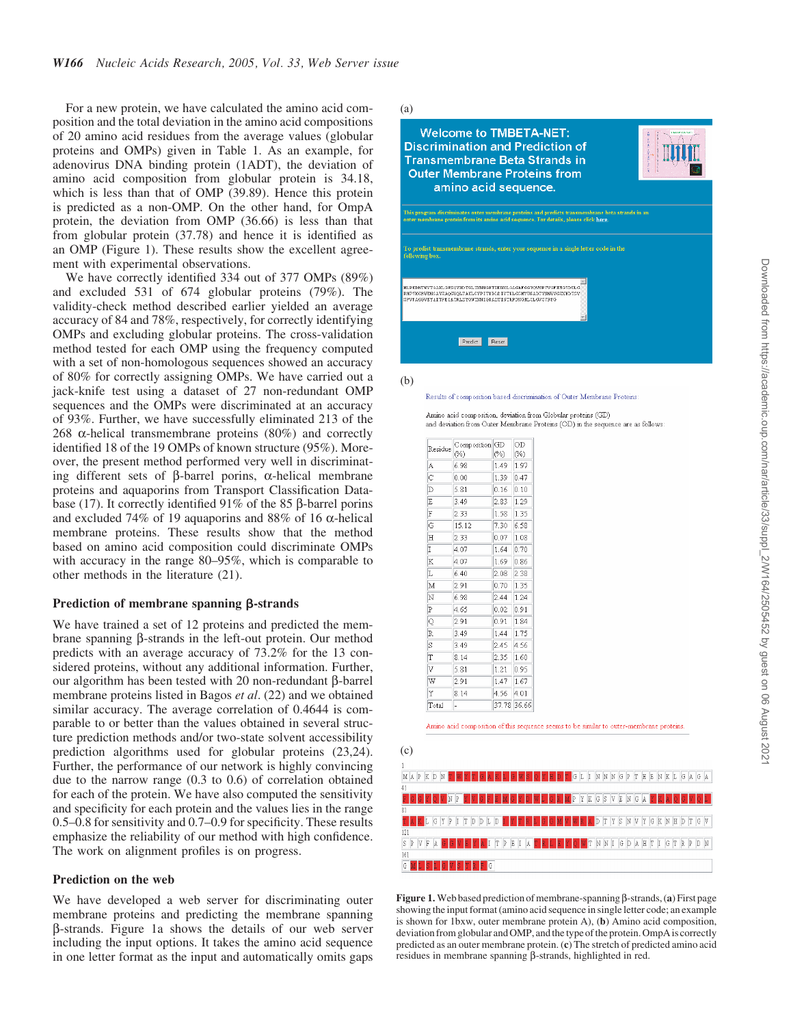For a new protein, we have calculated the amino acid composition and the total deviation in the amino acid compositions of 20 amino acid residues from the average values (globular proteins and OMPs) given in Table 1. As an example, for adenovirus DNA binding protein (1ADT), the deviation of amino acid composition from globular protein is 34.18, which is less than that of OMP (39.89). Hence this protein is predicted as a non-OMP. On the other hand, for OmpA protein, the deviation from OMP (36.66) is less than that from globular protein (37.78) and hence it is identified as an OMP (Figure 1). These results show the excellent agreement with experimental observations.

We have correctly identified 334 out of 377 OMPs (89%) and excluded 531 of 674 globular proteins (79%). The validity-check method described earlier yielded an average accuracy of 84 and 78%, respectively, for correctly identifying OMPs and excluding globular proteins. The cross-validation method tested for each OMP using the frequency computed with a set of non-homologous sequences showed an accuracy of 80% for correctly assigning OMPs. We have carried out a jack-knife test using a dataset of 27 non-redundant OMP sequences and the OMPs were discriminated at an accuracy of 93%. Further, we have successfully eliminated 213 of the 268  $\alpha$ -helical transmembrane proteins (80%) and correctly identified 18 of the 19 OMPs of known structure (95%). Moreover, the present method performed very well in discriminating different sets of  $\beta$ -barrel porins,  $\alpha$ -helical membrane proteins and aquaporins from Transport Classification Database (17). It correctly identified 91% of the 85  $\beta$ -barrel porins and excluded 74% of 19 aquaporins and 88% of 16  $\alpha$ -helical membrane proteins. These results show that the method based on amino acid composition could discriminate OMPs with accuracy in the range 80–95%, which is comparable to other methods in the literature (21).

### Prediction of membrane spanning  $\beta$ -strands

We have trained a set of 12 proteins and predicted the membrane spanning  $\beta$ -strands in the left-out protein. Our method predicts with an average accuracy of 73.2% for the 13 considered proteins, without any additional information. Further, our algorithm has been tested with 20 non-redundant  $\beta$ -barrel membrane proteins listed in Bagos *et al*. (22) and we obtained similar accuracy. The average correlation of 0.4644 is comparable to or better than the values obtained in several structure prediction methods and/or two-state solvent accessibility prediction algorithms used for globular proteins (23,24). Further, the performance of our network is highly convincing due to the narrow range (0.3 to 0.6) of correlation obtained for each of the protein. We have also computed the sensitivity and specificity for each protein and the values lies in the range 0.5–0.8 for sensitivity and 0.7–0.9 for specificity. These results emphasize the reliability of our method with high confidence. The work on alignment profiles is on progress.

#### Prediction on the web

We have developed a web server for discriminating outer membrane proteins and predicting the membrane spanning b-strands. Figure 1a shows the details of our web server including the input options. It takes the amino acid sequence in one letter format as the input and automatically omits gaps



(b)

Results of composition based discrimination of Outer Membrane Proteins

| Amino acid composition, deviation from Globular proteins (GD)                   |  |
|---------------------------------------------------------------------------------|--|
| and deviation from Outer Membrane Proteins (OD) in the sequence are as follows: |  |

| Residue | Composition<br>(%) | GD<br>(%)   | OD<br>(%) |
|---------|--------------------|-------------|-----------|
| A       | 6.98               | 1.49        | 1.97      |
| Ć       | 0.00               | 1.39        | 047       |
| D       | 5.81               | 0.16        | 0.10      |
| E       | 3.49               | 2.83        | 1.29      |
| F       | 2.33               | 158         | 135       |
| G       | 15.12              | 7.30        | 6.58      |
| H       | 2.33               | 0.07        | 1.08      |
| I       | 4.07               | 1.64        | 0.70      |
| K       | 4.07               | 1.69        | 0.86      |
| L       | 6.40               | 2.08        | 2.38      |
| M       | 2.91               | 0.70        | 1.35      |
| N       | 6.98               | 2.44        | 1.24      |
| P       | 465                | 0.02        | 0.91      |
| Q       | 2.91               | 0.91        | 1.84      |
| R       | 349                | 1.44        | 1.75      |
| S       | 3.49               | 2.45        | 4 56      |
| T       | 8.14               | 2.35        | 1.60      |
| V       | 5.81               | 1.21        | 0.95      |
| W       | 2.91               | 1.47        | 1.67      |
| Υ       | 8 14               | 4.56        | 4 01      |
| Total   |                    | 37.78 36.66 |           |

Amino acid composition of this sequence seems to be similar to outer-membrane proteins





Figure 1. Web based prediction of membrane-spanning  $\beta$ -strands, (a) First page showing the input format (amino acid sequence in single letter code; an example is shown for 1bxw, outer membrane protein A), (b) Amino acid composition, deviation from globular and OMP, and the type of the protein. OmpA is correctly predicted as an outer membrane protein. (c) The stretch of predicted amino acid residues in membrane spanning β-strands, highlighted in red.